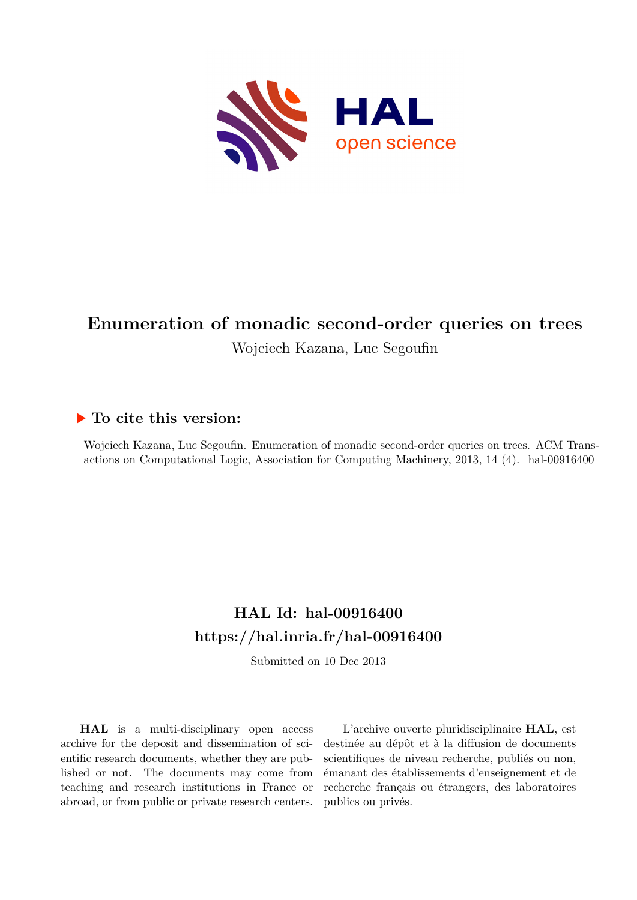

# **Enumeration of monadic second-order queries on trees** Wojciech Kazana, Luc Segoufin

# **To cite this version:**

Wojciech Kazana, Luc Segoufin. Enumeration of monadic second-order queries on trees. ACM Transactions on Computational Logic, Association for Computing Machinery, 2013, 14 (4). hal-00916400

# **HAL Id: hal-00916400 <https://hal.inria.fr/hal-00916400>**

Submitted on 10 Dec 2013

**HAL** is a multi-disciplinary open access archive for the deposit and dissemination of scientific research documents, whether they are published or not. The documents may come from teaching and research institutions in France or abroad, or from public or private research centers.

L'archive ouverte pluridisciplinaire **HAL**, est destinée au dépôt et à la diffusion de documents scientifiques de niveau recherche, publiés ou non, émanant des établissements d'enseignement et de recherche français ou étrangers, des laboratoires publics ou privés.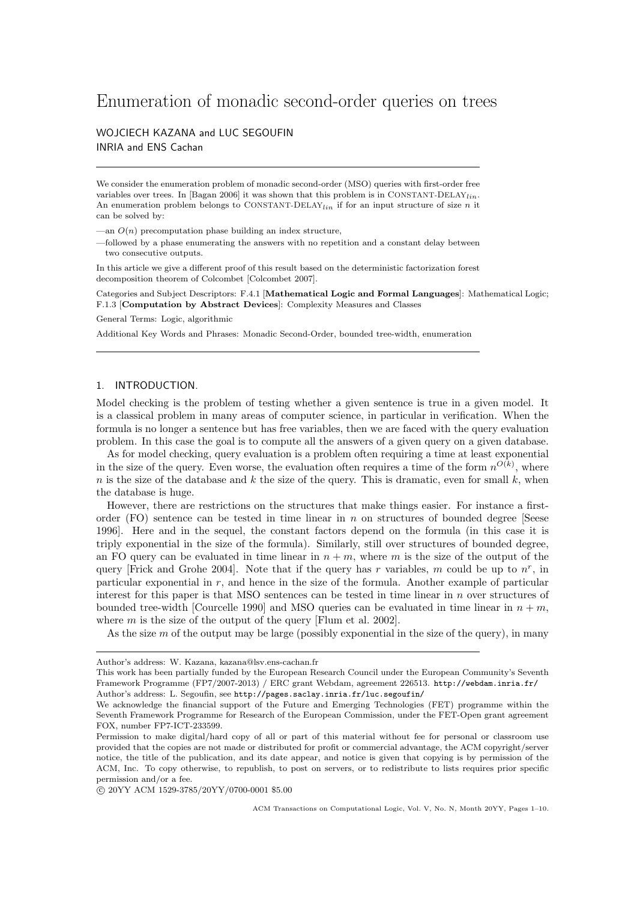# Enumeration of monadic second-order queries on trees

# WOJCIECH KAZANA and LUC SEGOUFIN INRIA and ENS Cachan

We consider the enumeration problem of monadic second-order (MSO) queries with first-order free variables over trees. In [Bagan 2006] it was shown that this problem is in CONSTANT-DELAY<sub>lin</sub>. An enumeration problem belongs to CONSTANT-DELAY<sub>lin</sub> if for an input structure of size n it can be solved by:

—an  $O(n)$  precomputation phase building an index structure,

—followed by a phase enumerating the answers with no repetition and a constant delay between two consecutive outputs.

In this article we give a different proof of this result based on the deterministic factorization forest decomposition theorem of Colcombet [Colcombet 2007].

Categories and Subject Descriptors: F.4.1 [Mathematical Logic and Formal Languages]: Mathematical Logic; F.1.3 [Computation by Abstract Devices]: Complexity Measures and Classes

General Terms: Logic, algorithmic

Additional Key Words and Phrases: Monadic Second-Order, bounded tree-width, enumeration

#### 1. INTRODUCTION.

Model checking is the problem of testing whether a given sentence is true in a given model. It is a classical problem in many areas of computer science, in particular in verification. When the formula is no longer a sentence but has free variables, then we are faced with the query evaluation problem. In this case the goal is to compute all the answers of a given query on a given database.

As for model checking, query evaluation is a problem often requiring a time at least exponential in the size of the query. Even worse, the evaluation often requires a time of the form  $n^{O(k)}$ , where n is the size of the database and k the size of the query. This is dramatic, even for small k, when the database is huge.

However, there are restrictions on the structures that make things easier. For instance a firstorder (FO) sentence can be tested in time linear in  $n$  on structures of bounded degree [Seese 1996]. Here and in the sequel, the constant factors depend on the formula (in this case it is triply exponential in the size of the formula). Similarly, still over structures of bounded degree, an FO query can be evaluated in time linear in  $n + m$ , where m is the size of the output of the query [Frick and Grohe 2004]. Note that if the query has r variables, m could be up to  $n^r$ , in particular exponential in  $r$ , and hence in the size of the formula. Another example of particular interest for this paper is that MSO sentences can be tested in time linear in n over structures of bounded tree-width [Courcelle 1990] and MSO queries can be evaluated in time linear in  $n + m$ , where  $m$  is the size of the output of the query [Flum et al. 2002].

As the size  $m$  of the output may be large (possibly exponential in the size of the query), in many

Author's address: W. Kazana, kazana@lsv.ens-cachan.fr

This work has been partially funded by the European Research Council under the European Community's Seventh Framework Programme (FP7/2007-2013) / ERC grant Webdam, agreement 226513. http://webdam.inria.fr/

Author's address: L. Segoufin, see http://pages.saclay.inria.fr/luc.segoufin/

We acknowledge the financial support of the Future and Emerging Technologies (FET) programme within the Seventh Framework Programme for Research of the European Commission, under the FET-Open grant agreement FOX, number FP7-ICT-233599.

Permission to make digital/hard copy of all or part of this material without fee for personal or classroom use provided that the copies are not made or distributed for profit or commercial advantage, the ACM copyright/server notice, the title of the publication, and its date appear, and notice is given that copying is by permission of the ACM, Inc. To copy otherwise, to republish, to post on servers, or to redistribute to lists requires prior specific permission and/or a fee.

c 20YY ACM 1529-3785/20YY/0700-0001 \$5.00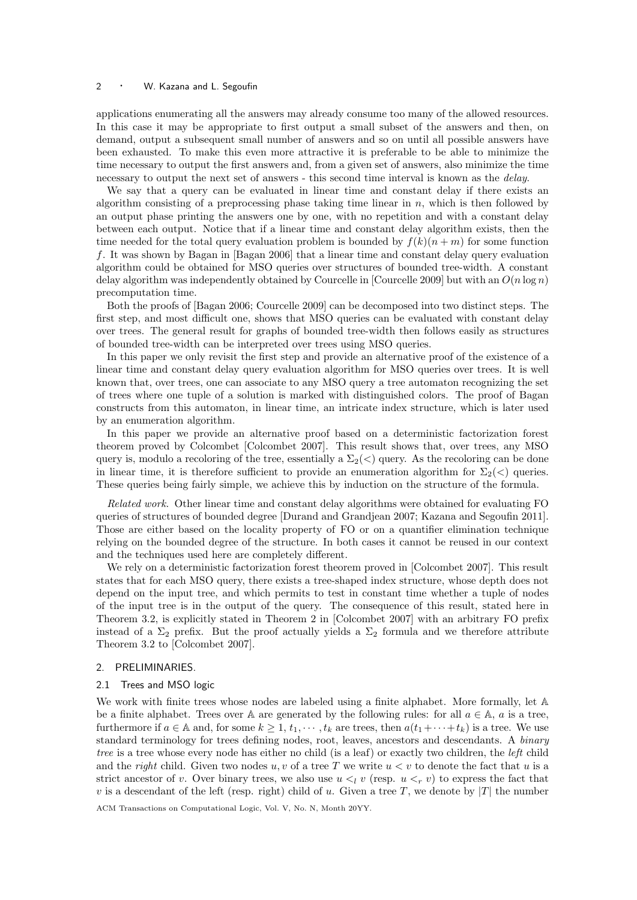# 2 • W. Kazana and L. Segoufin

applications enumerating all the answers may already consume too many of the allowed resources. In this case it may be appropriate to first output a small subset of the answers and then, on demand, output a subsequent small number of answers and so on until all possible answers have been exhausted. To make this even more attractive it is preferable to be able to minimize the time necessary to output the first answers and, from a given set of answers, also minimize the time necessary to output the next set of answers - this second time interval is known as the delay.

We say that a query can be evaluated in linear time and constant delay if there exists an algorithm consisting of a preprocessing phase taking time linear in  $n$ , which is then followed by an output phase printing the answers one by one, with no repetition and with a constant delay between each output. Notice that if a linear time and constant delay algorithm exists, then the time needed for the total query evaluation problem is bounded by  $f(k)(n + m)$  for some function f. It was shown by Bagan in [Bagan 2006] that a linear time and constant delay query evaluation algorithm could be obtained for MSO queries over structures of bounded tree-width. A constant delay algorithm was independently obtained by Courcelle in [Courcelle 2009] but with an  $O(n \log n)$ precomputation time.

Both the proofs of [Bagan 2006; Courcelle 2009] can be decomposed into two distinct steps. The first step, and most difficult one, shows that MSO queries can be evaluated with constant delay over trees. The general result for graphs of bounded tree-width then follows easily as structures of bounded tree-width can be interpreted over trees using MSO queries.

In this paper we only revisit the first step and provide an alternative proof of the existence of a linear time and constant delay query evaluation algorithm for MSO queries over trees. It is well known that, over trees, one can associate to any MSO query a tree automaton recognizing the set of trees where one tuple of a solution is marked with distinguished colors. The proof of Bagan constructs from this automaton, in linear time, an intricate index structure, which is later used by an enumeration algorithm.

In this paper we provide an alternative proof based on a deterministic factorization forest theorem proved by Colcombet [Colcombet 2007]. This result shows that, over trees, any MSO query is, modulo a recoloring of the tree, essentially a  $\Sigma_2(\langle)$  query. As the recoloring can be done in linear time, it is therefore sufficient to provide an enumeration algorithm for  $\Sigma_2(\langle \rangle)$  queries. These queries being fairly simple, we achieve this by induction on the structure of the formula.

Related work. Other linear time and constant delay algorithms were obtained for evaluating FO queries of structures of bounded degree [Durand and Grandjean 2007; Kazana and Segoufin 2011]. Those are either based on the locality property of FO or on a quantifier elimination technique relying on the bounded degree of the structure. In both cases it cannot be reused in our context and the techniques used here are completely different.

We rely on a deterministic factorization forest theorem proved in [Colcombet 2007]. This result states that for each MSO query, there exists a tree-shaped index structure, whose depth does not depend on the input tree, and which permits to test in constant time whether a tuple of nodes of the input tree is in the output of the query. The consequence of this result, stated here in Theorem 3.2, is explicitly stated in Theorem 2 in [Colcombet 2007] with an arbitrary FO prefix instead of a  $\Sigma_2$  prefix. But the proof actually yields a  $\Sigma_2$  formula and we therefore attribute Theorem 3.2 to [Colcombet 2007].

#### 2. PRELIMINARIES.

#### 2.1 Trees and MSO logic

We work with finite trees whose nodes are labeled using a finite alphabet. More formally, let  $\mathbb A$ be a finite alphabet. Trees over A are generated by the following rules: for all  $a \in A$ , a is a tree, furthermore if  $a \in \mathbb{A}$  and, for some  $k \geq 1, t_1, \dots, t_k$  are trees, then  $a(t_1 + \dots + t_k)$  is a tree. We use standard terminology for trees defining nodes, root, leaves, ancestors and descendants. A binary tree is a tree whose every node has either no child (is a leaf) or exactly two children, the *left* child and the *right* child. Given two nodes  $u, v$  of a tree T we write  $u < v$  to denote the fact that u is a strict ancestor of v. Over binary trees, we also use  $u \leq_l v$  (resp.  $u \leq_r v$ ) to express the fact that v is a descendant of the left (resp. right) child of u. Given a tree T, we denote by  $|T|$  the number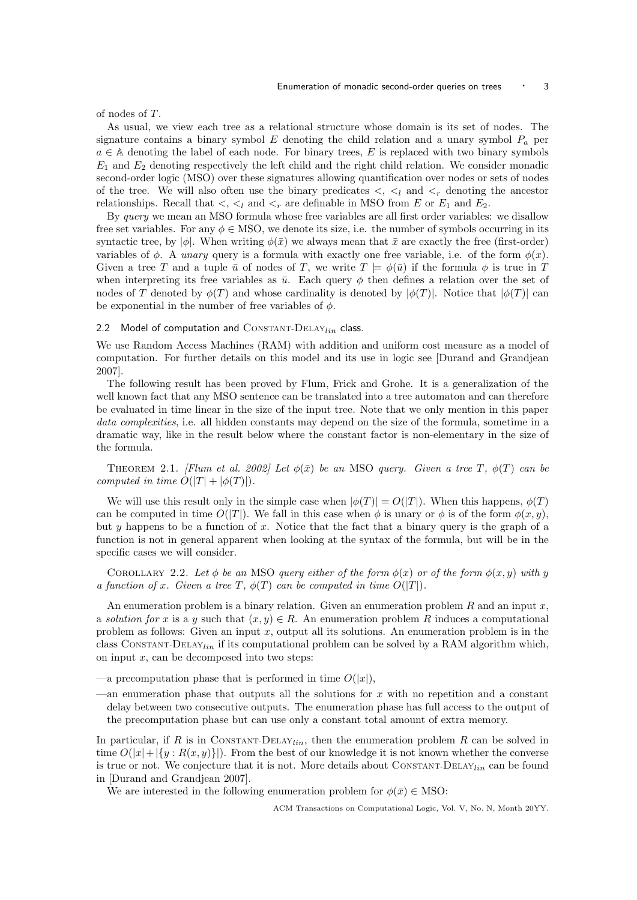of nodes of T.

As usual, we view each tree as a relational structure whose domain is its set of nodes. The signature contains a binary symbol  $E$  denoting the child relation and a unary symbol  $P_a$  per  $a \in A$  denoting the label of each node. For binary trees, E is replaced with two binary symbols  $E_1$  and  $E_2$  denoting respectively the left child and the right child relation. We consider monadic second-order logic (MSO) over these signatures allowing quantification over nodes or sets of nodes of the tree. We will also often use the binary predicates  $\lt$ ,  $\lt_l$  and  $\lt_r$  denoting the ancestor relationships. Recall that  $\lt, \lt_l$  and  $\lt_r$  are definable in MSO from E or  $E_1$  and  $E_2$ .

By *query* we mean an MSO formula whose free variables are all first order variables: we disallow free set variables. For any  $\phi \in \text{MSO}$ , we denote its size, i.e. the number of symbols occurring in its syntactic tree, by  $|\phi|$ . When writing  $\phi(\bar{x})$  we always mean that  $\bar{x}$  are exactly the free (first-order) variables of  $\phi$ . A *unary* query is a formula with exactly one free variable, i.e. of the form  $\phi(x)$ . Given a tree T and a tuple  $\bar{u}$  of nodes of T, we write  $T \models \phi(\bar{u})$  if the formula  $\phi$  is true in T when interpreting its free variables as  $\bar{u}$ . Each query  $\phi$  then defines a relation over the set of nodes of T denoted by  $\phi(T)$  and whose cardinality is denoted by  $|\phi(T)|$ . Notice that  $|\phi(T)|$  can be exponential in the number of free variables of  $\phi$ .

#### 2.2 Model of computation and  $\text{Constant-DELAY}_{lin}$  class.

We use Random Access Machines (RAM) with addition and uniform cost measure as a model of computation. For further details on this model and its use in logic see [Durand and Grandjean 2007].

The following result has been proved by Flum, Frick and Grohe. It is a generalization of the well known fact that any MSO sentence can be translated into a tree automaton and can therefore be evaluated in time linear in the size of the input tree. Note that we only mention in this paper data complexities, i.e. all hidden constants may depend on the size of the formula, sometime in a dramatic way, like in the result below where the constant factor is non-elementary in the size of the formula.

THEOREM 2.1. [Flum et al. 2002] Let  $\phi(\bar{x})$  be an MSO query. Given a tree T,  $\phi(T)$  can be computed in time  $O(|T| + |\phi(T)|)$ .

We will use this result only in the simple case when  $|\phi(T)| = O(|T|)$ . When this happens,  $\phi(T)$ can be computed in time  $O(|T|)$ . We fall in this case when  $\phi$  is unary or  $\phi$  is of the form  $\phi(x, y)$ , but y happens to be a function of x. Notice that the fact that a binary query is the graph of a function is not in general apparent when looking at the syntax of the formula, but will be in the specific cases we will consider.

COROLLARY 2.2. Let  $\phi$  be an MSO query either of the form  $\phi(x)$  or of the form  $\phi(x, y)$  with y a function of x. Given a tree T,  $\phi(T)$  can be computed in time  $O(|T|)$ .

An enumeration problem is a binary relation. Given an enumeration problem  $R$  and an input  $x$ , a solution for x is a y such that  $(x, y) \in R$ . An enumeration problem R induces a computational problem as follows: Given an input x, output all its solutions. An enumeration problem is in the class CONSTANT-DELAY<sub>lin</sub> if its computational problem can be solved by a RAM algorithm which, on input  $x$ , can be decomposed into two steps:

—a precomputation phase that is performed in time  $O(|x|)$ ,

an enumeration phase that outputs all the solutions for  $x$  with no repetition and a constant delay between two consecutive outputs. The enumeration phase has full access to the output of the precomputation phase but can use only a constant total amount of extra memory.

In particular, if R is in CONSTANT-DELAY<sub>lin</sub>, then the enumeration problem R can be solved in time  $O(|x|+|\{y: R(x,y)\}|)$ . From the best of our knowledge it is not known whether the converse is true or not. We conjecture that it is not. More details about  $\text{Constant-DELAY}_{lin}$  can be found in [Durand and Grandjean 2007].

We are interested in the following enumeration problem for  $\phi(\bar{x}) \in \text{MSO}$ :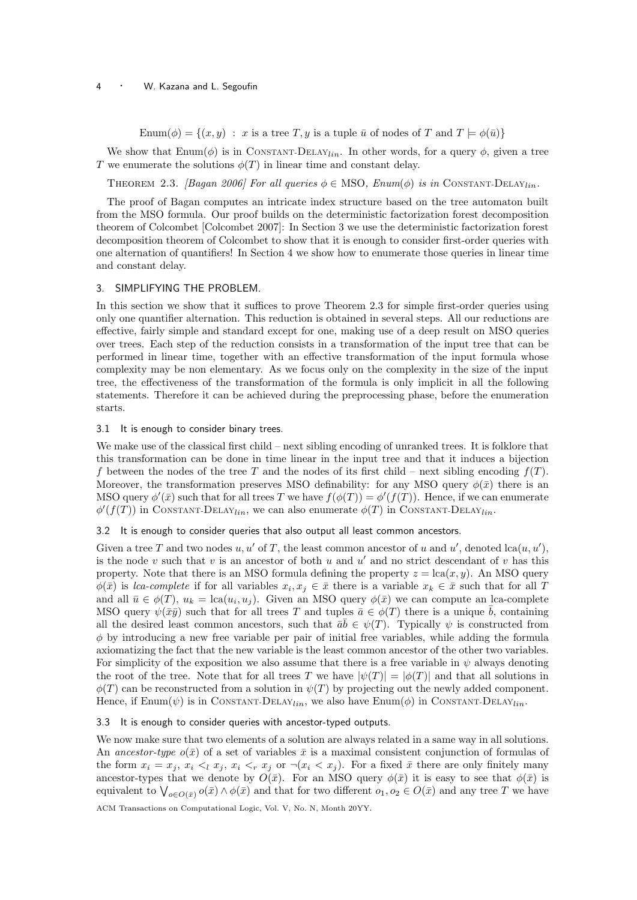#### 4 • W. Kazana and L. Segoufin

Enum $(\phi) = \{(x, y) : x \text{ is a tree } T, y \text{ is a tuple } \bar{u} \text{ of nodes of } T \text{ and } T \models \phi(\bar{u})\}$ 

We show that  $\text{Enum}(\phi)$  is in CONSTANT-DELAY<sub>lin</sub>. In other words, for a query  $\phi$ , given a tree T we enumerate the solutions  $\phi(T)$  in linear time and constant delay.

THEOREM 2.3. [Bagan 2006] For all queries  $\phi \in \text{MSO}$ , Enum( $\phi$ ) is in CONSTANT-DELAY<sub>lin</sub>.

The proof of Bagan computes an intricate index structure based on the tree automaton built from the MSO formula. Our proof builds on the deterministic factorization forest decomposition theorem of Colcombet [Colcombet 2007]: In Section 3 we use the deterministic factorization forest decomposition theorem of Colcombet to show that it is enough to consider first-order queries with one alternation of quantifiers! In Section 4 we show how to enumerate those queries in linear time and constant delay.

## 3. SIMPLIFYING THE PROBLEM.

In this section we show that it suffices to prove Theorem 2.3 for simple first-order queries using only one quantifier alternation. This reduction is obtained in several steps. All our reductions are effective, fairly simple and standard except for one, making use of a deep result on MSO queries over trees. Each step of the reduction consists in a transformation of the input tree that can be performed in linear time, together with an effective transformation of the input formula whose complexity may be non elementary. As we focus only on the complexity in the size of the input tree, the effectiveness of the transformation of the formula is only implicit in all the following statements. Therefore it can be achieved during the preprocessing phase, before the enumeration starts.

#### 3.1 It is enough to consider binary trees.

We make use of the classical first child – next sibling encoding of unranked trees. It is folklore that this transformation can be done in time linear in the input tree and that it induces a bijection f between the nodes of the tree T and the nodes of its first child – next sibling encoding  $f(T)$ . Moreover, the transformation preserves MSO definability: for any MSO query  $\phi(\bar{x})$  there is an MSO query  $\phi'(\bar{x})$  such that for all trees T we have  $f(\phi(T)) = \phi'(f(T))$ . Hence, if we can enumerate  $\phi'(f(T))$  in CONSTANT-DELAY<sub>lin</sub>, we can also enumerate  $\phi(T)$  in CONSTANT-DELAY<sub>lin</sub>.

#### 3.2 It is enough to consider queries that also output all least common ancestors.

Given a tree T and two nodes  $u, u'$  of T, the least common ancestor of u and u', denoted  $lca(u, u')$ , is the node v such that v is an ancestor of both  $u$  and  $u'$  and no strict descendant of v has this property. Note that there is an MSO formula defining the property  $z = \text{lca}(x, y)$ . An MSO query  $\phi(\bar{x})$  is lca-complete if for all variables  $x_i, x_j \in \bar{x}$  there is a variable  $x_k \in \bar{x}$  such that for all T and all  $\bar{u} \in \phi(T)$ ,  $u_k = \text{lca}(u_i, u_j)$ . Given an MSO query  $\phi(\bar{x})$  we can compute an lca-complete MSO query  $\psi(\bar{x}\bar{y})$  such that for all trees T and tuples  $\bar{a} \in \phi(T)$  there is a unique  $\bar{b}$ , containing all the desired least common ancestors, such that  $\bar{a}\bar{b} \in \psi(T)$ . Typically  $\psi$  is constructed from  $\phi$  by introducing a new free variable per pair of initial free variables, while adding the formula axiomatizing the fact that the new variable is the least common ancestor of the other two variables. For simplicity of the exposition we also assume that there is a free variable in  $\psi$  always denoting the root of the tree. Note that for all trees T we have  $|\psi(T)| = |\phi(T)|$  and that all solutions in  $\phi(T)$  can be reconstructed from a solution in  $\psi(T)$  by projecting out the newly added component. Hence, if  $\text{Enum}(\psi)$  is in CONSTANT-DELAY<sub>lin</sub>, we also have  $\text{Enum}(\phi)$  in CONSTANT-DELAY<sub>lin</sub>.

#### 3.3 It is enough to consider queries with ancestor-typed outputs.

We now make sure that two elements of a solution are always related in a same way in all solutions. An ancestor-type  $o(\bar{x})$  of a set of variables  $\bar{x}$  is a maximal consistent conjunction of formulas of the form  $x_i = x_j$ ,  $x_i <sub>i</sub> <sub>i</sub> <sub>i</sub> <sub>i</sub> <sub>i</sub> <sub>i</sub> <sub>i</sub> <sub>i</sub> <sub>i</sub> <sub>i</sub> <sub>i</sub> <sub>j</sub> or  $\neg(x_i < x_j)$ . For a fixed  $\bar{x}$  there are only finitely many$ ancestor-types that we denote by  $O(\bar{x})$ . For an MSO query  $\phi(\bar{x})$  it is easy to see that  $\phi(\bar{x})$  is equivalent to  $\bigvee_{o\in O(\bar{x})} o(\bar{x}) \wedge \phi(\bar{x})$  and that for two different  $o_1, o_2 \in O(\bar{x})$  and any tree T we have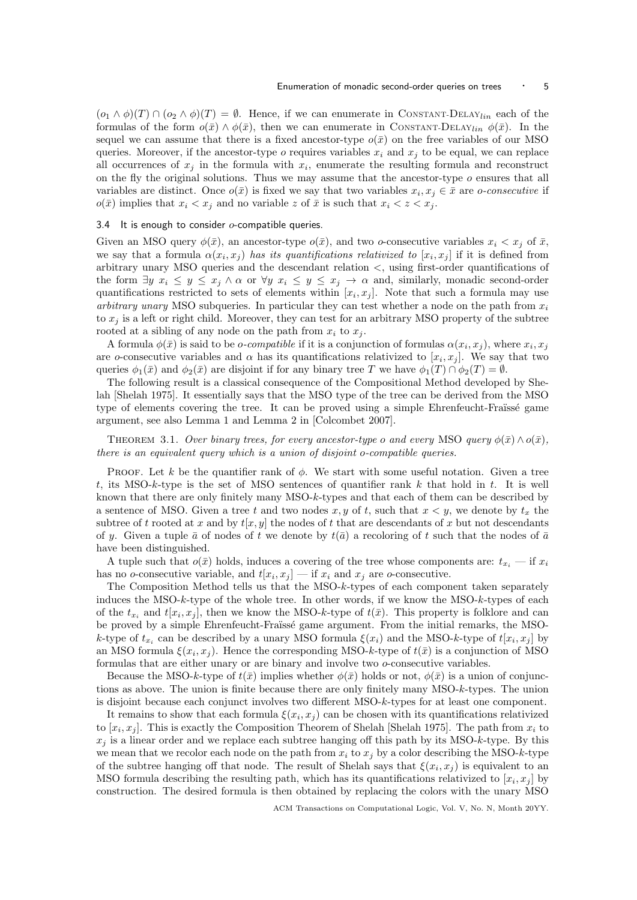$(o_1 \wedge \phi)(T) \cap (o_2 \wedge \phi)(T) = \emptyset$ . Hence, if we can enumerate in CONSTANT-DELAY<sub>lin</sub> each of the formulas of the form  $o(\bar{x}) \wedge \phi(\bar{x})$ , then we can enumerate in CONSTANT-DELAY<sub>lin</sub>  $\phi(\bar{x})$ . In the sequel we can assume that there is a fixed ancestor-type  $o(\bar{x})$  on the free variables of our MSO queries. Moreover, if the ancestor-type  $o$  requires variables  $x_i$  and  $x_j$  to be equal, we can replace all occurrences of  $x_j$  in the formula with  $x_i$ , enumerate the resulting formula and reconstruct on the fly the original solutions. Thus we may assume that the ancestor-type  $o$  ensures that all variables are distinct. Once  $o(\bar{x})$  is fixed we say that two variables  $x_i, x_j \in \bar{x}$  are *o-consecutive* if  $o(\bar{x})$  implies that  $x_i < x_j$  and no variable z of  $\bar{x}$  is such that  $x_i < z < x_j$ .

#### 3.4 It is enough to consider  $o$ -compatible queries.

Given an MSO query  $\phi(\bar{x})$ , an ancestor-type  $o(\bar{x})$ , and two o-consecutive variables  $x_i < x_j$  of  $\bar{x}$ , we say that a formula  $\alpha(x_i, x_j)$  has its quantifications relativized to  $[x_i, x_j]$  if it is defined from arbitrary unary MSO queries and the descendant relation <, using first-order quantifications of the form  $\exists y \; x_i \leq y \leq x_j \land \alpha$  or  $\forall y \; x_i \leq y \leq x_j \rightarrow \alpha$  and, similarly, monadic second-order quantifications restricted to sets of elements within  $[x_i, x_j]$ . Note that such a formula may use arbitrary unary MSO subqueries. In particular they can test whether a node on the path from  $x_i$ to  $x_j$  is a left or right child. Moreover, they can test for an arbitrary MSO property of the subtree rooted at a sibling of any node on the path from  $x_i$  to  $x_j$ .

A formula  $\phi(\bar{x})$  is said to be *o-compatible* if it is a conjunction of formulas  $\alpha(x_i, x_j)$ , where  $x_i, x_j$ are o-consecutive variables and  $\alpha$  has its quantifications relativized to  $[x_i, x_j]$ . We say that two queries  $\phi_1(\bar{x})$  and  $\phi_2(\bar{x})$  are disjoint if for any binary tree T we have  $\phi_1(T) \cap \phi_2(T) = \emptyset$ .

The following result is a classical consequence of the Compositional Method developed by Shelah [Shelah 1975]. It essentially says that the MSO type of the tree can be derived from the MSO type of elements covering the tree. It can be proved using a simple Ehrenfeucht-Fraüssé game argument, see also Lemma 1 and Lemma 2 in [Colcombet 2007].

# THEOREM 3.1. Over binary trees, for every ancestor-type o and every MSO query  $\phi(\bar{x}) \wedge o(\bar{x})$ , there is an equivalent query which is a union of disjoint o-compatible queries.

PROOF. Let k be the quantifier rank of  $\phi$ . We start with some useful notation. Given a tree t, its MSO-k-type is the set of MSO sentences of quantifier rank k that hold in t. It is well known that there are only finitely many MSO-k-types and that each of them can be described by a sentence of MSO. Given a tree t and two nodes x, y of t, such that  $x < y$ , we denote by  $t_x$  the subtree of t rooted at x and by  $t[x, y]$  the nodes of t that are descendants of x but not descendants of y. Given a tuple  $\bar{a}$  of nodes of t we denote by  $t(\bar{a})$  a recoloring of t such that the nodes of  $\bar{a}$ have been distinguished.

A tuple such that  $o(\bar{x})$  holds, induces a covering of the tree whose components are:  $t_{x_i}$  — if  $x_i$ has no *o*-consecutive variable, and  $t[x_i, x_j]$  — if  $x_i$  and  $x_j$  are *o*-consecutive.

The Composition Method tells us that the MSO-k-types of each component taken separately induces the MSO-k-type of the whole tree. In other words, if we know the MSO-k-types of each of the  $t_{x_i}$  and  $t[x_i, x_j]$ , then we know the MSO-k-type of  $t(\bar{x})$ . This property is folklore and can be proved by a simple Ehrenfeucht-Fraïssé game argument. From the initial remarks, the MSOk-type of  $t_{x_i}$  can be described by a unary MSO formula  $\xi(x_i)$  and the MSO-k-type of  $t[x_i, x_j]$  by an MSO formula  $\xi(x_i, x_j)$ . Hence the corresponding MSO-k-type of  $t(\bar{x})$  is a conjunction of MSO formulas that are either unary or are binary and involve two o-consecutive variables.

Because the MSO-k-type of  $t(\bar{x})$  implies whether  $\phi(\bar{x})$  holds or not,  $\phi(\bar{x})$  is a union of conjunctions as above. The union is finite because there are only finitely many MSO-k-types. The union is disjoint because each conjunct involves two different MSO-k-types for at least one component.

It remains to show that each formula  $\xi(x_i, x_j)$  can be chosen with its quantifications relativized to  $[x_i, x_j]$ . This is exactly the Composition Theorem of Shelah [Shelah 1975]. The path from  $x_i$  to  $x_j$  is a linear order and we replace each subtree hanging off this path by its MSO-k-type. By this we mean that we recolor each node on the path from  $x_i$  to  $x_j$  by a color describing the MSO-k-type of the subtree hanging off that node. The result of Shelah says that  $\xi(x_i, x_j)$  is equivalent to an MSO formula describing the resulting path, which has its quantifications relativized to  $[x_i, x_j]$  by construction. The desired formula is then obtained by replacing the colors with the unary MSO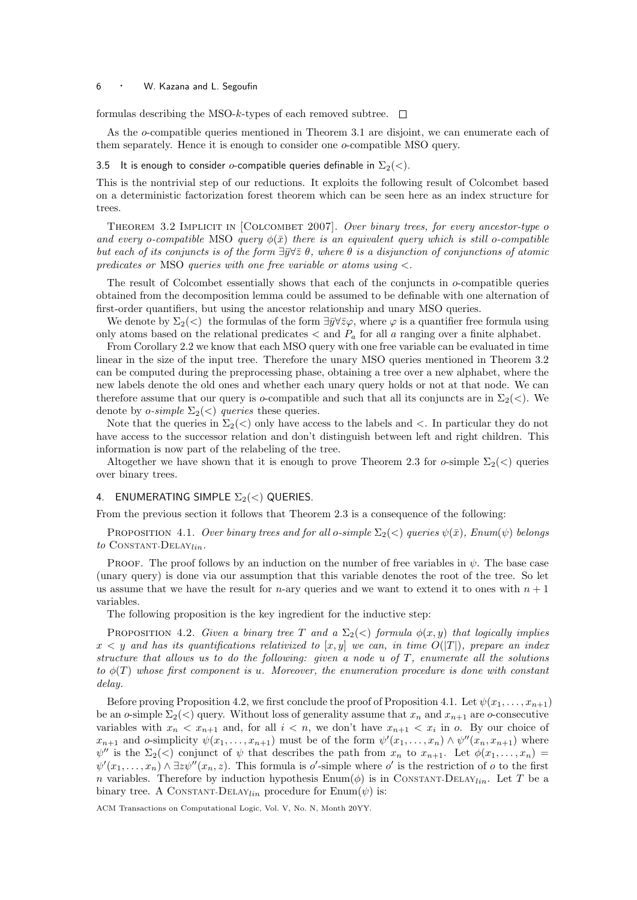## <sup>6</sup> · W. Kazana and L. Segoufin

formulas describing the MSO-k-types of each removed subtree.  $\Box$ 

As the *o*-compatible queries mentioned in Theorem 3.1 are disjoint, we can enumerate each of them separately. Hence it is enough to consider one o-compatible MSO query.

#### 3.5 It is enough to consider o-compatible queries definable in  $\Sigma_2(\langle \rangle)$ .

This is the nontrivial step of our reductions. It exploits the following result of Colcombet based on a deterministic factorization forest theorem which can be seen here as an index structure for trees.

THEOREM 3.2 IMPLICIT IN [COLCOMBET 2007]. Over binary trees, for every ancestor-type o and every o-compatible MSO query  $\phi(\bar{x})$  there is an equivalent query which is still o-compatible but each of its conjuncts is of the form  $\exists \bar{y} \forall \bar{z} \theta$ , where  $\theta$  is a disjunction of conjunctions of atomic predicates or MSO queries with one free variable or atoms using  $\lt$ .

The result of Colcombet essentially shows that each of the conjuncts in o-compatible queries obtained from the decomposition lemma could be assumed to be definable with one alternation of first-order quantifiers, but using the ancestor relationship and unary MSO queries.

We denote by  $\Sigma_2(\lt)$  the formulas of the form  $\exists \bar{y} \forall \bar{z} \varphi$ , where  $\varphi$  is a quantifier free formula using only atoms based on the relational predicates  $\lt$  and  $P_a$  for all a ranging over a finite alphabet.

From Corollary 2.2 we know that each MSO query with one free variable can be evaluated in time linear in the size of the input tree. Therefore the unary MSO queries mentioned in Theorem 3.2 can be computed during the preprocessing phase, obtaining a tree over a new alphabet, where the new labels denote the old ones and whether each unary query holds or not at that node. We can therefore assume that our query is o-compatible and such that all its conjuncts are in  $\Sigma_2(\langle \cdot)$ . We denote by *o-simple*  $\Sigma_2(\langle)$  *queries* these queries.

Note that the queries in  $\Sigma_2(\langle\ \rangle)$  only have access to the labels and  $\langle\ \rangle$ . In particular they do not have access to the successor relation and don't distinguish between left and right children. This information is now part of the relabeling of the tree.

Altogether we have shown that it is enough to prove Theorem 2.3 for  $o$ -simple  $\Sigma_2(\langle\rangle)$  queries over binary trees.

## 4. ENUMERATING SIMPLE  $\Sigma_2(<)$  QUERIES.

From the previous section it follows that Theorem 2.3 is a consequence of the following:

PROPOSITION 4.1. Over binary trees and for all o-simple  $\Sigma_2(<)$  queries  $\psi(\bar{x})$ , Enum( $\psi$ ) belongs to CONSTANT-DELAY<sub>lin</sub>.

**PROOF.** The proof follows by an induction on the number of free variables in  $\psi$ . The base case (unary query) is done via our assumption that this variable denotes the root of the tree. So let us assume that we have the result for *n*-ary queries and we want to extend it to ones with  $n + 1$ variables.

The following proposition is the key ingredient for the inductive step:

PROPOSITION 4.2. Given a binary tree T and a  $\Sigma_2(\langle \rangle)$  formula  $\phi(x, y)$  that logically implies  $x < y$  and has its quantifications relativized to  $[x, y]$  we can, in time  $O(|T|)$ , prepare an index structure that allows us to do the following: given a node  $u$  of  $T$ , enumerate all the solutions to  $\phi(T)$  whose first component is u. Moreover, the enumeration procedure is done with constant delay.

Before proving Proposition 4.2, we first conclude the proof of Proposition 4.1. Let  $\psi(x_1, \ldots, x_{n+1})$ be an o-simple  $\Sigma_2(\leq)$  query. Without loss of generality assume that  $x_n$  and  $x_{n+1}$  are o-consecutive variables with  $x_n < x_{n+1}$  and, for all  $i < n$ , we don't have  $x_{n+1} < x_i$  in  $o$ . By our choice of  $x_{n+1}$  and o-simplicity  $\psi(x_1,\ldots,x_{n+1})$  must be of the form  $\psi'(x_1,\ldots,x_n) \wedge \psi''(x_n,x_{n+1})$  where  $\psi''$  is the  $\Sigma_2(\langle \cdot \rangle)$  conjunct of  $\psi$  that describes the path from  $x_n$  to  $x_{n+1}$ . Let  $\phi(x_1, \ldots, x_n)$  $\psi'(x_1,\ldots,x_n) \wedge \exists z \psi''(x_n,z)$ . This formula is o'-simple where o' is the restriction of o to the first n variables. Therefore by induction hypothesis  $\text{Enum}(\phi)$  is in CONSTANT-DELAY<sub>lin</sub>. Let T be a binary tree. A CONSTANT-DELAY<sub>lin</sub> procedure for Enum( $\psi$ ) is: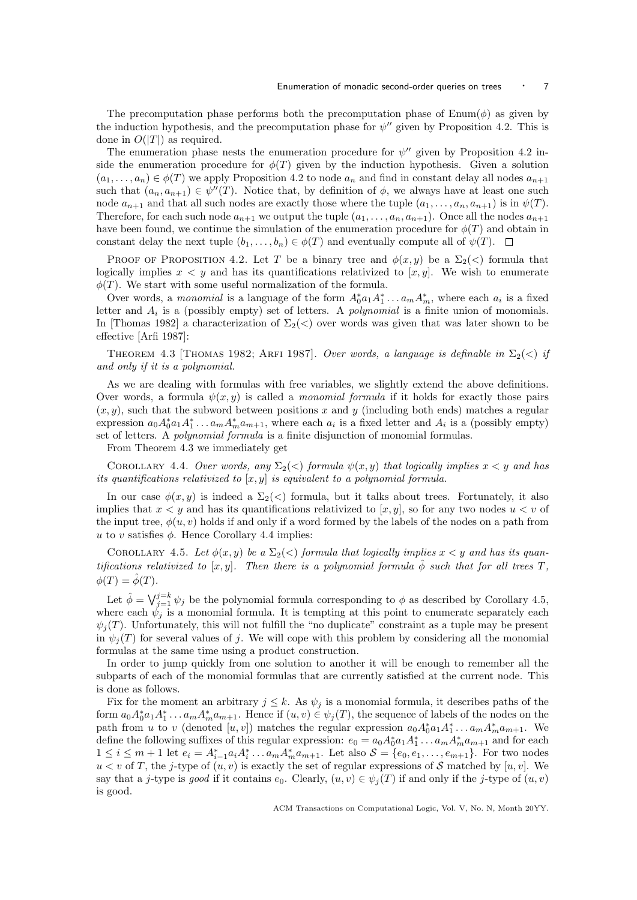The precomputation phase performs both the precomputation phase of  $\text{Enum}(\phi)$  as given by the induction hypothesis, and the precomputation phase for  $\psi''$  given by Proposition 4.2. This is done in  $O(|T|)$  as required.

The enumeration phase nests the enumeration procedure for  $\psi''$  given by Proposition 4.2 inside the enumeration procedure for  $\phi(T)$  given by the induction hypothesis. Given a solution  $(a_1, \ldots, a_n) \in \phi(T)$  we apply Proposition 4.2 to node  $a_n$  and find in constant delay all nodes  $a_{n+1}$ such that  $(a_n, a_{n+1}) \in \psi''(T)$ . Notice that, by definition of  $\phi$ , we always have at least one such node  $a_{n+1}$  and that all such nodes are exactly those where the tuple  $(a_1, \ldots, a_n, a_{n+1})$  is in  $\psi(T)$ . Therefore, for each such node  $a_{n+1}$  we output the tuple  $(a_1, \ldots, a_n, a_{n+1})$ . Once all the nodes  $a_{n+1}$ have been found, we continue the simulation of the enumeration procedure for  $\phi(T)$  and obtain in constant delay the next tuple  $(b_1, \ldots, b_n) \in \phi(T)$  and eventually compute all of  $\psi(T)$ .

PROOF OF PROPOSITION 4.2. Let T be a binary tree and  $\phi(x, y)$  be a  $\Sigma_2(\langle \rangle)$  formula that logically implies  $x < y$  and has its quantifications relativized to  $[x, y]$ . We wish to enumerate  $\phi(T)$ . We start with some useful normalization of the formula.

Over words, a *monomial* is a language of the form  $A_0^* a_1 A_1^* \dots a_m A_m^*$ , where each  $a_i$  is a fixed letter and  $A_i$  is a (possibly empty) set of letters. A *polynomial* is a finite union of monomials. In [Thomas 1982] a characterization of  $\Sigma_2(\langle \rangle)$  over words was given that was later shown to be effective [Arfi 1987]:

THEOREM 4.3 [THOMAS 1982; ARFI 1987]. Over words, a language is definable in  $\Sigma_2(\langle)$  if and only if it is a polynomial.

As we are dealing with formulas with free variables, we slightly extend the above definitions. Over words, a formula  $\psi(x, y)$  is called a *monomial formula* if it holds for exactly those pairs  $(x, y)$ , such that the subword between positions x and y (including both ends) matches a regular expression  $a_0A_0^*a_1A_1^*...a_mA_m^*a_{m+1}$ , where each  $a_i$  is a fixed letter and  $A_i$  is a (possibly empty) set of letters. A polynomial formula is a finite disjunction of monomial formulas.

From Theorem 4.3 we immediately get

COROLLARY 4.4. Over words, any  $\Sigma_2(\leq)$  formula  $\psi(x, y)$  that logically implies  $x \leq y$  and has its quantifications relativized to  $[x, y]$  is equivalent to a polynomial formula.

In our case  $\phi(x, y)$  is indeed a  $\Sigma_2(\langle z \rangle)$  formula, but it talks about trees. Fortunately, it also implies that  $x < y$  and has its quantifications relativized to [x, y], so for any two nodes  $u < v$  of the input tree,  $\phi(u, v)$  holds if and only if a word formed by the labels of the nodes on a path from u to v satisfies  $\phi$ . Hence Corollary 4.4 implies:

COROLLARY 4.5. Let  $\phi(x, y)$  be a  $\Sigma_2(\langle)$  formula that logically implies  $x \langle y \rangle$  and has its quantifications relativized to  $[x, y]$ . Then there is a polynomial formula  $\hat{\phi}$  such that for all trees T,  $\phi(T) = \hat{\phi}(T).$ 

Let  $\hat{\phi} = \bigvee_{j=1}^{j=k} \psi_j$  be the polynomial formula corresponding to  $\phi$  as described by Corollary 4.5, where each  $\psi_j$  is a monomial formula. It is tempting at this point to enumerate separately each  $\psi_i(T)$ . Unfortunately, this will not fulfill the "no duplicate" constraint as a tuple may be present in  $\psi_i(T)$  for several values of j. We will cope with this problem by considering all the monomial formulas at the same time using a product construction.

In order to jump quickly from one solution to another it will be enough to remember all the subparts of each of the monomial formulas that are currently satisfied at the current node. This is done as follows.

Fix for the moment an arbitrary  $j \leq k$ . As  $\psi_j$  is a monomial formula, it describes paths of the form  $a_0A_0^*a_1A_1^*\ldots a_mA_m^*a_{m+1}$ . Hence if  $(u, v) \in \psi_j(T)$ , the sequence of labels of the nodes on the path from u to v (denoted  $[u, v]$ ) matches the regular expression  $a_0 A_0^* a_1 A_1^* \dots a_m A_m^* a_{m+1}$ . We define the following suffixes of this regular expression:  $e_0 = a_0 A_0^* a_1 A_1^* \dots a_m A_m^* a_{m+1}$  and for each  $1 \leq i \leq m+1$  let  $e_i = A_{i-1}^* a_i A_i^* \dots a_m A_m^* a_{m+1}$ . Let also  $S = \{e_0, e_1, \dots, e_{m+1}\}$ . For two nodes  $u < v$  of T, the j-type of  $(u, v)$  is exactly the set of regular expressions of S matched by [u, v]. We say that a j-type is good if it contains  $e_0$ . Clearly,  $(u, v) \in \psi_i(T)$  if and only if the j-type of  $(u, v)$ is good.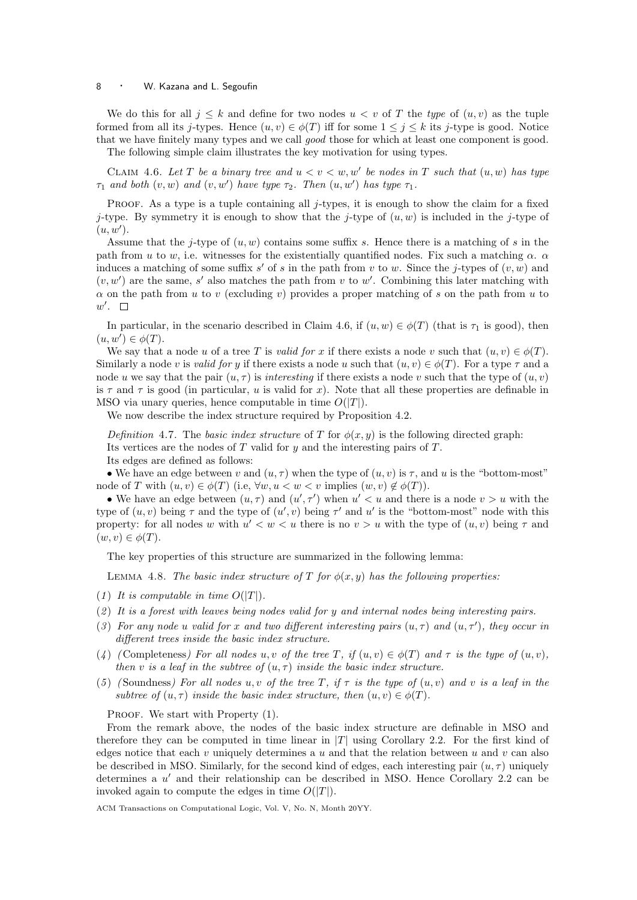## 8 • W. Kazana and L. Segoufin

We do this for all  $j \leq k$  and define for two nodes  $u < v$  of T the type of  $(u, v)$  as the tuple formed from all its j-types. Hence  $(u, v) \in \phi(T)$  iff for some  $1 \leq j \leq k$  its j-type is good. Notice that we have finitely many types and we call good those for which at least one component is good. The following simple claim illustrates the key motivation for using types.

CLAIM 4.6. Let T be a binary tree and  $u < v < w, w'$  be nodes in T such that  $(u, w)$  has type  $\tau_1$  and both  $(v, w)$  and  $(v, w')$  have type  $\tau_2$ . Then  $(u, w')$  has type  $\tau_1$ .

PROOF. As a type is a tuple containing all j-types, it is enough to show the claim for a fixed j-type. By symmetry it is enough to show that the j-type of  $(u, w)$  is included in the j-type of  $(u, w')$ .

Assume that the *j*-type of  $(u, w)$  contains some suffix s. Hence there is a matching of s in the path from u to w, i.e. witnesses for the existentially quantified nodes. Fix such a matching  $\alpha$ .  $\alpha$ induces a matching of some suffix s' of s in the path from v to w. Since the j-types of  $(v, w)$  and  $(v, w')$  are the same, s' also matches the path from v to w'. Combining this later matching with  $\alpha$  on the path from u to v (excluding v) provides a proper matching of s on the path from u to  $w'.$ 

In particular, in the scenario described in Claim 4.6, if  $(u, w) \in \phi(T)$  (that is  $\tau_1$  is good), then  $(u, w') \in \phi(T)$ .

We say that a node u of a tree T is valid for x if there exists a node v such that  $(u, v) \in \phi(T)$ . Similarly a node v is valid for y if there exists a node u such that  $(u, v) \in \phi(T)$ . For a type  $\tau$  and a node u we say that the pair  $(u, \tau)$  is interesting if there exists a node v such that the type of  $(u, v)$ is  $\tau$  and  $\tau$  is good (in particular, u is valid for x). Note that all these properties are definable in MSO via unary queries, hence computable in time  $O(|T|)$ .

We now describe the index structure required by Proposition 4.2.

Definition 4.7. The basic index structure of T for  $\phi(x, y)$  is the following directed graph: Its vertices are the nodes of  $T$  valid for  $y$  and the interesting pairs of  $T$ .

Its edges are defined as follows:

• We have an edge between v and  $(u, \tau)$  when the type of  $(u, v)$  is  $\tau$ , and u is the "bottom-most" node of T with  $(u, v) \in \phi(T)$  (i.e,  $\forall w, u < w < v$  implies  $(w, v) \notin \phi(T)$ ).

• We have an edge between  $(u, \tau)$  and  $(u', \tau')$  when  $u' < u$  and there is a node  $v > u$  with the type of  $(u, v)$  being  $\tau$  and the type of  $(u', v)$  being  $\tau'$  and u' is the "bottom-most" node with this property: for all nodes w with  $u' < w < u$  there is no  $v > u$  with the type of  $(u, v)$  being  $\tau$  and  $(w, v) \in \phi(T)$ .

The key properties of this structure are summarized in the following lemma:

LEMMA 4.8. The basic index structure of T for  $\phi(x, y)$  has the following properties:

- (1) It is computable in time  $O(|T|)$ .
- $(2)$  It is a forest with leaves being nodes valid for y and internal nodes being interesting pairs.
- (3) For any node u valid for x and two different interesting pairs  $(u, \tau)$  and  $(u, \tau')$ , they occur in different trees inside the basic index structure.
- (4) (Completeness) For all nodes u, v of the tree T, if  $(u, v) \in \phi(T)$  and  $\tau$  is the type of  $(u, v)$ , then v is a leaf in the subtree of  $(u, \tau)$  inside the basic index structure.
- (5) (Soundness) For all nodes u, v of the tree T, if  $\tau$  is the type of  $(u, v)$  and v is a leaf in the subtree of  $(u, \tau)$  inside the basic index structure, then  $(u, v) \in \phi(T)$ .

PROOF. We start with Property  $(1)$ .

From the remark above, the nodes of the basic index structure are definable in MSO and therefore they can be computed in time linear in  $|T|$  using Corollary 2.2. For the first kind of edges notice that each v uniquely determines a  $u$  and that the relation between  $u$  and  $v$  can also be described in MSO. Similarly, for the second kind of edges, each interesting pair  $(u, \tau)$  uniquely determines a u' and their relationship can be described in MSO. Hence Corollary 2.2 can be invoked again to compute the edges in time  $O(|T|)$ .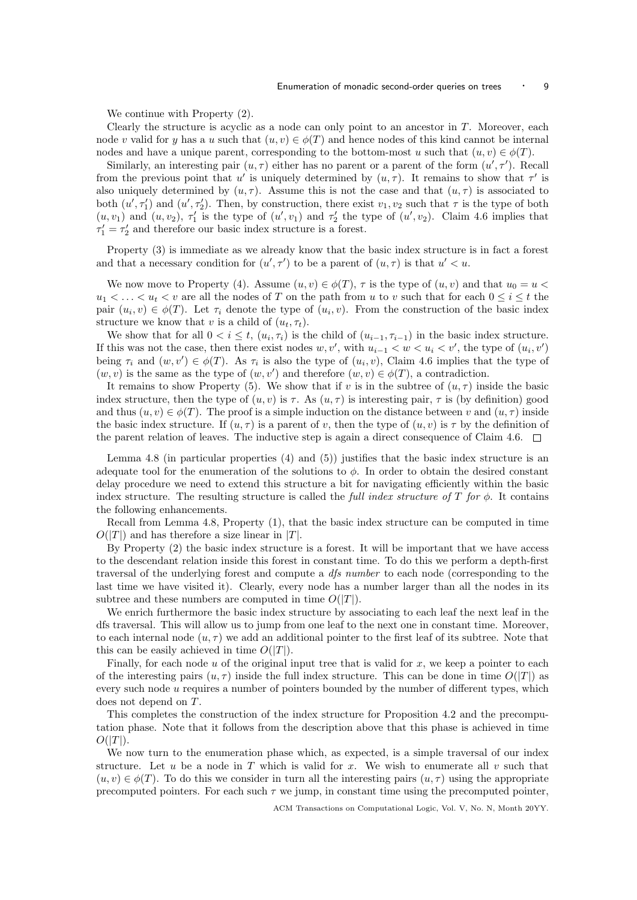We continue with Property (2).

Clearly the structure is acyclic as a node can only point to an ancestor in T. Moreover, each node v valid for y has a u such that  $(u, v) \in \phi(T)$  and hence nodes of this kind cannot be internal nodes and have a unique parent, corresponding to the bottom-most u such that  $(u, v) \in \phi(T)$ .

Similarly, an interesting pair  $(u, \tau)$  either has no parent or a parent of the form  $(u', \tau')$ . Recall from the previous point that u' is uniquely determined by  $(u, \tau)$ . It remains to show that  $\tau'$  is also uniquely determined by  $(u, \tau)$ . Assume this is not the case and that  $(u, \tau)$  is associated to both  $(u', \tau'_1)$  and  $(u', \tau'_2)$ . Then, by construction, there exist  $v_1, v_2$  such that  $\tau$  is the type of both  $(u, v_1)$  and  $(u, v_2)$ ,  $\tau'_1$  is the type of  $(u', v_1)$  and  $\tau'_2$  the type of  $(u', v_2)$ . Claim 4.6 implies that  $\tau'_1 = \tau'_2$  and therefore our basic index structure is a forest.

Property (3) is immediate as we already know that the basic index structure is in fact a forest and that a necessary condition for  $(u', \tau')$  to be a parent of  $(u, \tau)$  is that  $u' < u$ .

We now move to Property (4). Assume  $(u, v) \in \phi(T)$ ,  $\tau$  is the type of  $(u, v)$  and that  $u_0 = u$  $u_1 < \ldots < u_t < v$  are all the nodes of T on the path from u to v such that for each  $0 \leq i \leq t$  the pair  $(u_i, v) \in \phi(T)$ . Let  $\tau_i$  denote the type of  $(u_i, v)$ . From the construction of the basic index structure we know that v is a child of  $(u_t, \tau_t)$ .

We show that for all  $0 < i \leq t$ ,  $(u_i, \tau_i)$  is the child of  $(u_{i-1}, \tau_{i-1})$  in the basic index structure. If this was not the case, then there exist nodes  $w, v'$ , with  $u_{i-1} < w < u_i < v'$ , the type of  $(u_i, v')$ being  $\tau_i$  and  $(w, v') \in \phi(T)$ . As  $\tau_i$  is also the type of  $(u_i, v)$ , Claim 4.6 implies that the type of  $(w, v)$  is the same as the type of  $(w, v')$  and therefore  $(w, v) \in \phi(T)$ , a contradiction.

It remains to show Property (5). We show that if v is in the subtree of  $(u, \tau)$  inside the basic index structure, then the type of  $(u, v)$  is  $\tau$ . As  $(u, \tau)$  is interesting pair,  $\tau$  is (by definition) good and thus  $(u, v) \in \phi(T)$ . The proof is a simple induction on the distance between v and  $(u, \tau)$  inside the basic index structure. If  $(u, \tau)$  is a parent of v, then the type of  $(u, v)$  is  $\tau$  by the definition of the parent relation of leaves. The inductive step is again a direct consequence of Claim 4.6.  $\Box$ 

Lemma 4.8 (in particular properties (4) and (5)) justifies that the basic index structure is an adequate tool for the enumeration of the solutions to  $\phi$ . In order to obtain the desired constant delay procedure we need to extend this structure a bit for navigating efficiently within the basic index structure. The resulting structure is called the full index structure of T for  $\phi$ . It contains the following enhancements.

Recall from Lemma 4.8, Property (1), that the basic index structure can be computed in time  $O(|T|)$  and has therefore a size linear in |T|.

By Property (2) the basic index structure is a forest. It will be important that we have access to the descendant relation inside this forest in constant time. To do this we perform a depth-first traversal of the underlying forest and compute a dfs number to each node (corresponding to the last time we have visited it). Clearly, every node has a number larger than all the nodes in its subtree and these numbers are computed in time  $O(|T|)$ .

We enrich furthermore the basic index structure by associating to each leaf the next leaf in the dfs traversal. This will allow us to jump from one leaf to the next one in constant time. Moreover, to each internal node  $(u, \tau)$  we add an additional pointer to the first leaf of its subtree. Note that this can be easily achieved in time  $O(|T|)$ .

Finally, for each node u of the original input tree that is valid for x, we keep a pointer to each of the interesting pairs  $(u, \tau)$  inside the full index structure. This can be done in time  $O(|T|)$  as every such node u requires a number of pointers bounded by the number of different types, which does not depend on T.

This completes the construction of the index structure for Proposition 4.2 and the precomputation phase. Note that it follows from the description above that this phase is achieved in time  $O(|T|)$ .

We now turn to the enumeration phase which, as expected, is a simple traversal of our index structure. Let u be a node in T which is valid for x. We wish to enumerate all v such that  $(u, v) \in \phi(T)$ . To do this we consider in turn all the interesting pairs  $(u, \tau)$  using the appropriate precomputed pointers. For each such  $\tau$  we jump, in constant time using the precomputed pointer,